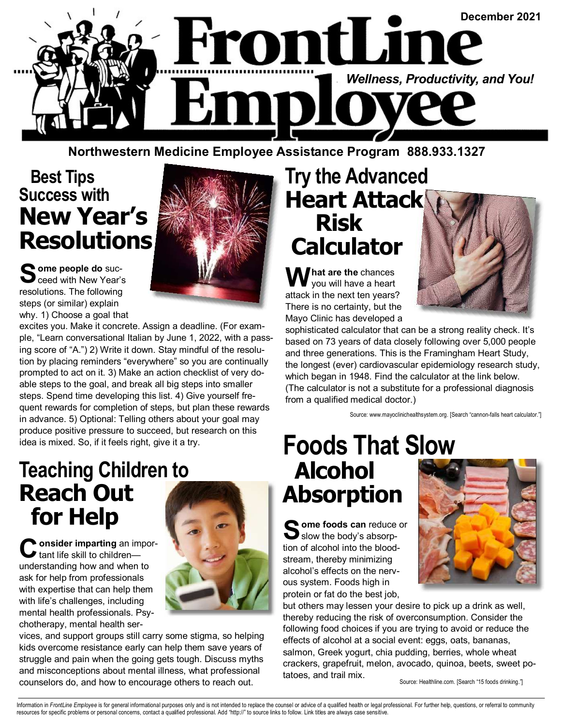

**Northwestern Medicine Employee Assistance Program 888.933.1327** 

#### **Best Tips Success with New Year's Resolutions**



excites you. Make it concrete. Assign a deadline. (For example, "Learn conversational Italian by June 1, 2022, with a passing score of "A.") 2) Write it down. Stay mindful of the resolution by placing reminders "everywhere" so you are continually prompted to act on it. 3) Make an action checklist of very doable steps to the goal, and break all big steps into smaller steps. Spend time developing this list. 4) Give yourself frequent rewards for completion of steps, but plan these rewards in advance. 5) Optional: Telling others about your goal may produce positive pressure to succeed, but research on this idea is mixed. So, if it feels right, give it a try.

#### **Teaching Children to Reach Out for Help**

**C onsider imparting** an impor-tant life skill to children understanding how and when to ask for help from professionals with expertise that can help them with life's challenges, including mental health professionals. Psychotherapy, mental health ser-



vices, and support groups still carry some stigma, so helping kids overcome resistance early can help them save years of struggle and pain when the going gets tough. Discuss myths and misconceptions about mental illness, what professional counselors do, and how to encourage others to reach out.

### **Try the Advanced Heart Attack Risk Calculator**

**W hat are the** chances you will have a heart attack in the next ten years? There is no certainty, but the Mayo Clinic has developed a



sophisticated calculator that can be a strong reality check. It's based on 73 years of data closely following over 5,000 people and three generations. This is the Framingham Heart Study, the longest (ever) cardiovascular epidemiology research study, which began in 1948. Find the calculator at the link below. (The calculator is not a substitute for a professional diagnosis from a qualified medical doctor.)

Source: www.mayoclinichealthsystem.org. [Search "cannon-falls heart calculator."]

## **Foods That Slow Alcohol Absorption**

Some foods can reduce or<br>
slow the body's absorption of alcohol into the bloodstream, thereby minimizing alcohol's effects on the nervous system. Foods high in protein or fat do the best job,



but others may lessen your desire to pick up a drink as well, thereby reducing the risk of overconsumption. Consider the following food choices if you are trying to avoid or reduce the effects of alcohol at a social event: eggs, oats, bananas, salmon, Greek yogurt, chia pudding, berries, whole wheat crackers, grapefruit, melon, avocado, quinoa, beets, sweet potatoes, and trail mix.

Source: Healthline.com. [Search "15 foods drinking."]

Information in FrontLine Employee is for general informational purposes only and is not intended to replace the counsel or advice of a qualified health or legal professional. For further help, questions, or referral to com resources for specific problems or personal concerns, contact a qualified professional. Add "http://" to source links to follow. Link titles are always case sensitive.